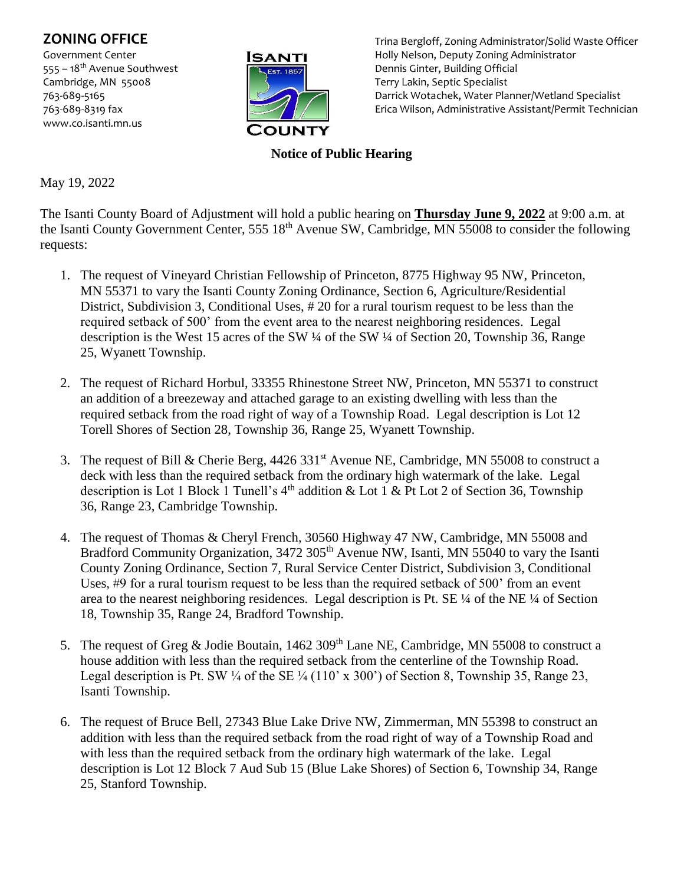## **ZONING OFFICE**

Government Center 555 – 18<sup>th</sup> Avenue Southwest Cambridge, MN 55008 763-689-5165 763-689-8319 fax www.co.isanti.mn.us



Trina Bergloff, Zoning Administrator/Solid Waste Officer Holly Nelson, Deputy Zoning Administrator Dennis Ginter, Building Official Terry Lakin, Septic Specialist Darrick Wotachek, Water Planner/Wetland Specialist Erica Wilson, Administrative Assistant/Permit Technician

## **Notice of Public Hearing**

May 19, 2022

The Isanti County Board of Adjustment will hold a public hearing on **Thursday June 9, 2022** at 9:00 a.m. at the Isanti County Government Center, 555 18<sup>th</sup> Avenue SW, Cambridge, MN 55008 to consider the following requests:

- 1. The request of Vineyard Christian Fellowship of Princeton, 8775 Highway 95 NW, Princeton, MN 55371 to vary the Isanti County Zoning Ordinance, Section 6, Agriculture/Residential District, Subdivision 3, Conditional Uses, # 20 for a rural tourism request to be less than the required setback of 500' from the event area to the nearest neighboring residences. Legal description is the West 15 acres of the SW ¼ of the SW ¼ of Section 20, Township 36, Range 25, Wyanett Township.
- 2. The request of Richard Horbul, 33355 Rhinestone Street NW, Princeton, MN 55371 to construct an addition of a breezeway and attached garage to an existing dwelling with less than the required setback from the road right of way of a Township Road. Legal description is Lot 12 Torell Shores of Section 28, Township 36, Range 25, Wyanett Township.
- 3. The request of Bill & Cherie Berg, 4426 331st Avenue NE, Cambridge, MN 55008 to construct a deck with less than the required setback from the ordinary high watermark of the lake. Legal description is Lot 1 Block 1 Tunell's  $4<sup>th</sup>$  addition & Lot 1 & Pt Lot 2 of Section 36, Township 36, Range 23, Cambridge Township.
- 4. The request of Thomas & Cheryl French, 30560 Highway 47 NW, Cambridge, MN 55008 and Bradford Community Organization, 3472 305<sup>th</sup> Avenue NW, Isanti, MN 55040 to vary the Isanti County Zoning Ordinance, Section 7, Rural Service Center District, Subdivision 3, Conditional Uses, #9 for a rural tourism request to be less than the required setback of 500' from an event area to the nearest neighboring residences. Legal description is Pt. SE ¼ of the NE ¼ of Section 18, Township 35, Range 24, Bradford Township.
- 5. The request of Greg & Jodie Boutain, 1462 309<sup>th</sup> Lane NE, Cambridge, MN 55008 to construct a house addition with less than the required setback from the centerline of the Township Road. Legal description is Pt. SW  $\frac{1}{4}$  of the SE  $\frac{1}{4}$  (110' x 300') of Section 8, Township 35, Range 23, Isanti Township.
- 6. The request of Bruce Bell, 27343 Blue Lake Drive NW, Zimmerman, MN 55398 to construct an addition with less than the required setback from the road right of way of a Township Road and with less than the required setback from the ordinary high watermark of the lake. Legal description is Lot 12 Block 7 Aud Sub 15 (Blue Lake Shores) of Section 6, Township 34, Range 25, Stanford Township.